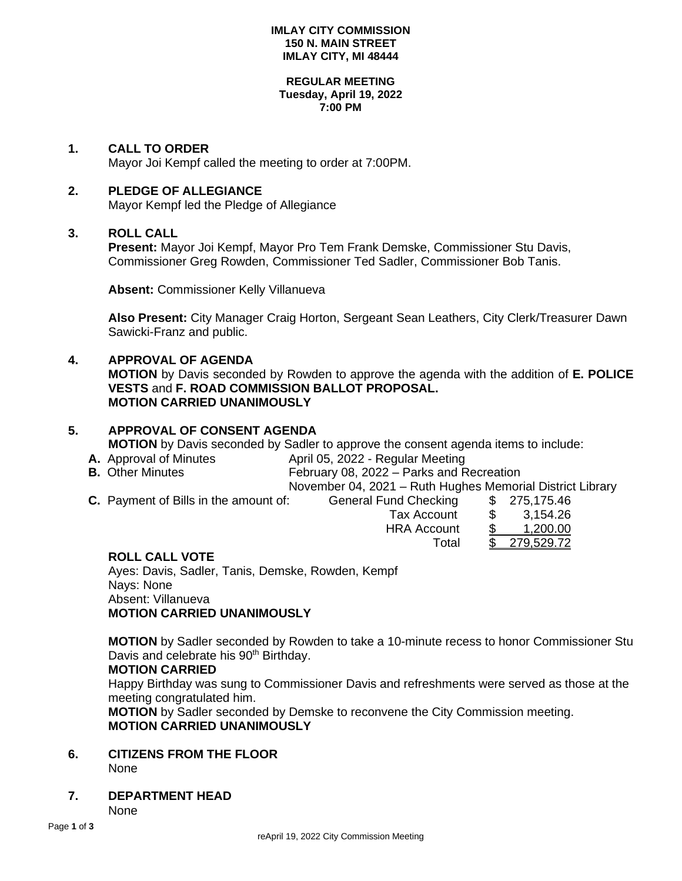#### **IMLAY CITY COMMISSION 150 N. MAIN STREET IMLAY CITY, MI 48444**

#### **REGULAR MEETING Tuesday, April 19, 2022 7:00 PM**

### **1. CALL TO ORDER**

Mayor Joi Kempf called the meeting to order at 7:00PM.

### **2. PLEDGE OF ALLEGIANCE**

Mayor Kempf led the Pledge of Allegiance

### **3. ROLL CALL**

**Present:** Mayor Joi Kempf, Mayor Pro Tem Frank Demske, Commissioner Stu Davis, Commissioner Greg Rowden, Commissioner Ted Sadler, Commissioner Bob Tanis.

**Absent:** Commissioner Kelly Villanueva

**Also Present:** City Manager Craig Horton, Sergeant Sean Leathers, City Clerk/Treasurer Dawn Sawicki-Franz and public.

### **4. APPROVAL OF AGENDA**

**MOTION** by Davis seconded by Rowden to approve the agenda with the addition of **E. POLICE VESTS** and **F. ROAD COMMISSION BALLOT PROPOSAL. MOTION CARRIED UNANIMOUSLY**

# **5. APPROVAL OF CONSENT AGENDA MOTION** by Davis seconded by Sadler to approve the consent agenda items to include:

- **A.** Approval of Minutes **April 05, 2022 Regular Meeting**
- **B.** Other Minutes **February 08, 2022 Parks and Recreation**

November 04, 2021 – Ruth Hughes Memorial District Library

**C.** Payment of Bills in the amount of: General Fund

| I Fund Checking    | \$. | 275,175.46 |
|--------------------|-----|------------|
| <b>Tax Account</b> | \$  | 3,154.26   |
| <b>HRA Account</b> | \$  | 1,200.00   |
| Total              |     | 279,529.72 |

### **ROLL CALL VOTE**

Ayes: Davis, Sadler, Tanis, Demske, Rowden, Kempf Nays: None Absent: Villanueva **MOTION CARRIED UNANIMOUSLY**

**MOTION** by Sadler seconded by Rowden to take a 10-minute recess to honor Commissioner Stu Davis and celebrate his 90<sup>th</sup> Birthday.

### **MOTION CARRIED**

Happy Birthday was sung to Commissioner Davis and refreshments were served as those at the meeting congratulated him.

**MOTION** by Sadler seconded by Demske to reconvene the City Commission meeting. **MOTION CARRIED UNANIMOUSLY**

# **6. CITIZENS FROM THE FLOOR**

None

**7. DEPARTMENT HEAD**

None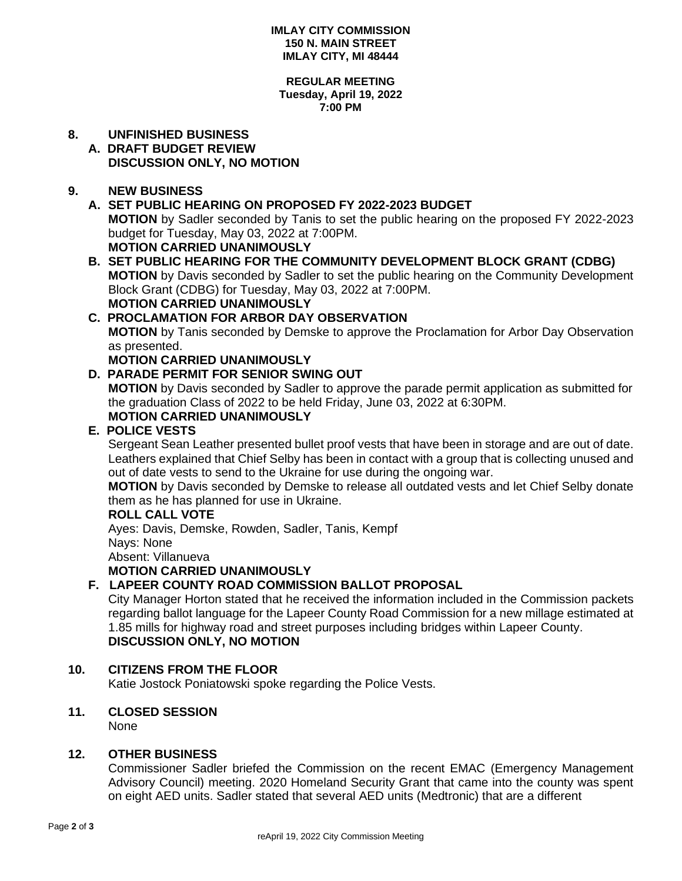#### **IMLAY CITY COMMISSION 150 N. MAIN STREET IMLAY CITY, MI 48444**

#### **REGULAR MEETING Tuesday, April 19, 2022 7:00 PM**

# **8. UNFINISHED BUSINESS**

## **A. DRAFT BUDGET REVIEW DISCUSSION ONLY, NO MOTION**

### **9. NEW BUSINESS**

# **A. SET PUBLIC HEARING ON PROPOSED FY 2022-2023 BUDGET MOTION** by Sadler seconded by Tanis to set the public hearing on the proposed FY 2022-2023 budget for Tuesday, May 03, 2022 at 7:00PM. **MOTION CARRIED UNANIMOUSLY**

**B. SET PUBLIC HEARING FOR THE COMMUNITY DEVELOPMENT BLOCK GRANT (CDBG) MOTION** by Davis seconded by Sadler to set the public hearing on the Community Development Block Grant (CDBG) for Tuesday, May 03, 2022 at 7:00PM. **MOTION CARRIED UNANIMOUSLY**

# **C. PROCLAMATION FOR ARBOR DAY OBSERVATION MOTION** by Tanis seconded by Demske to approve the Proclamation for Arbor Day Observation as presented.

## **MOTION CARRIED UNANIMOUSLY**

## **D. PARADE PERMIT FOR SENIOR SWING OUT**

**MOTION** by Davis seconded by Sadler to approve the parade permit application as submitted for the graduation Class of 2022 to be held Friday, June 03, 2022 at 6:30PM.

# **MOTION CARRIED UNANIMOUSLY**

## **E. POLICE VESTS**

Sergeant Sean Leather presented bullet proof vests that have been in storage and are out of date. Leathers explained that Chief Selby has been in contact with a group that is collecting unused and out of date vests to send to the Ukraine for use during the ongoing war.

**MOTION** by Davis seconded by Demske to release all outdated vests and let Chief Selby donate them as he has planned for use in Ukraine.

### **ROLL CALL VOTE**

Ayes: Davis, Demske, Rowden, Sadler, Tanis, Kempf Nays: None Absent: Villanueva **MOTION CARRIED UNANIMOUSLY**

## **F. LAPEER COUNTY ROAD COMMISSION BALLOT PROPOSAL**

City Manager Horton stated that he received the information included in the Commission packets regarding ballot language for the Lapeer County Road Commission for a new millage estimated at 1.85 mills for highway road and street purposes including bridges within Lapeer County. **DISCUSSION ONLY, NO MOTION**

## **10. CITIZENS FROM THE FLOOR**

Katie Jostock Poniatowski spoke regarding the Police Vests.

### **11. CLOSED SESSION**

None

### **12. OTHER BUSINESS**

Commissioner Sadler briefed the Commission on the recent EMAC (Emergency Management Advisory Council) meeting. 2020 Homeland Security Grant that came into the county was spent on eight AED units. Sadler stated that several AED units (Medtronic) that are a different